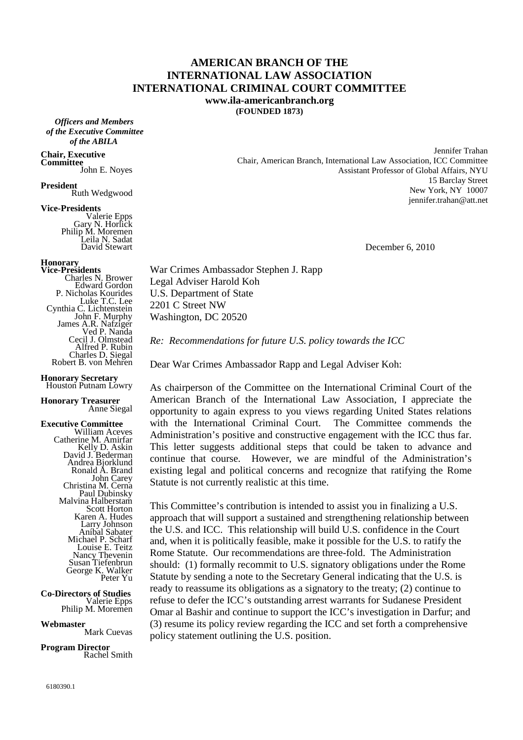### **AMERICAN BRANCH OF THE INTERNATIONAL LAW ASSOCIATION INTERNATIONAL CRIMINAL COURT COMMITTEE www.ila-americanbranch.org**

**(FOUNDED 1873)** 

 *Officers and Members of the Executive Committee of the ABILA*

#### **Chair, Executive Committee**

John E. Noyes

**President** Ruth Wedgwood

### **Vice-Presidents**

Valerie Epps Gary N. Horlick Philip M. Moremen Leila N. Sadat David Stewart

## **Honorary**

**Vice-Presidents**  Charles N. Brower Edward Gordon P. Nicholas Kourides Luke T.C. Lee Cynthia C. Lichtenstein John F. Murphy James A.R. Nafziger Ved P. Nanda Cecil J. Olmstead Alfred P. Rubin Charles D. Siegal Robert B. von Mehren

#### **Honorary Secretary**  Houston Putnam Lowry

**Honorary Treasurer** 

# Anne Siegal

**Executive Committee**  William Aceves Catherine M. Amirfar Kelly D. Askin David J. Bederman Andrea Bjorklund Ronald A. Brand John Carey Christina M. Cerna Paul Dubinsky Malvina Halberstam Scott Horton Karen A. Hudes Larry Johnson Aníbal Sabater Michael P. Scharf Louise E. Teitz Nancy Thevenin Susan Tiefenbrun George K. Walker Peter Yu

**Co-Directors of Studies**  Valerie Epps Philip M. Moremen

**Webmaster** Mark Cuevas

**Program Director** Rachel Smith

Jennifer Trahan Chair, American Branch, International Law Association, ICC Committee Assistant Professor of Global Affairs, NYU 15 Barclay Street New York, NY 10007 jennifer.trahan@att.net

December 6, 2010

War Crimes Ambassador Stephen J. Rapp Legal Adviser Harold Koh U.S. Department of State 2201 C Street NW Washington, DC 20520

*Re: Recommendations for future U.S. policy towards the ICC* 

Dear War Crimes Ambassador Rapp and Legal Adviser Koh:

As chairperson of the Committee on the International Criminal Court of the American Branch of the International Law Association, I appreciate the opportunity to again express to you views regarding United States relations with the International Criminal Court. The Committee commends the Administration's positive and constructive engagement with the ICC thus far. This letter suggests additional steps that could be taken to advance and continue that course. However, we are mindful of the Administration's existing legal and political concerns and recognize that ratifying the Rome Statute is not currently realistic at this time.

This Committee's contribution is intended to assist you in finalizing a U.S. approach that will support a sustained and strengthening relationship between the U.S. and ICC. This relationship will build U.S. confidence in the Court and, when it is politically feasible, make it possible for the U.S. to ratify the Rome Statute. Our recommendations are three-fold. The Administration should: (1) formally recommit to U.S. signatory obligations under the Rome Statute by sending a note to the Secretary General indicating that the U.S. is ready to reassume its obligations as a signatory to the treaty; (2) continue to refuse to defer the ICC's outstanding arrest warrants for Sudanese President Omar al Bashir and continue to support the ICC's investigation in Darfur; and (3) resume its policy review regarding the ICC and set forth a comprehensive policy statement outlining the U.S. position.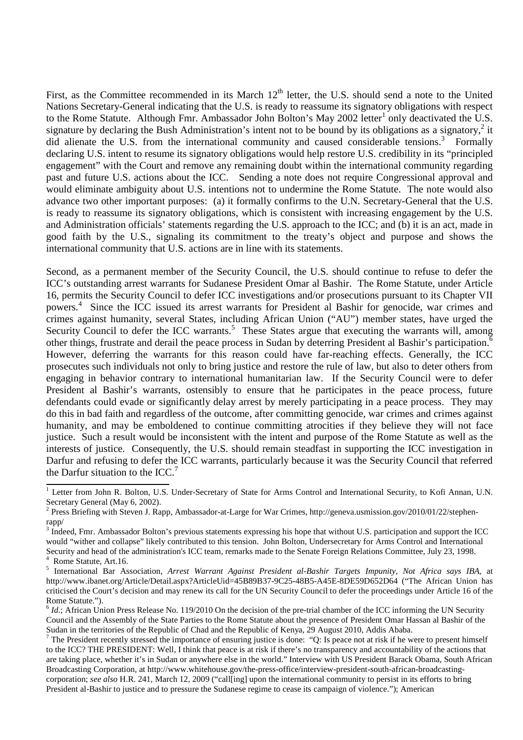First, as the Committee recommended in its March  $12<sup>th</sup>$  letter, the U.S. should send a note to the United Nations Secretary-General indicating that the U.S. is ready to reassume its signatory obligations with respect to the Rome Statute. Although Fmr. Ambassador John Bolton's May 2002 letter<sup>1</sup> only deactivated the U.S. signature by declaring the Bush Administration's intent not to be bound by its obligations as a signatory,<sup>2</sup> it did alienate the U.S. from the international community and caused considerable tensions.<sup>3</sup> Formally declaring U.S. intent to resume its signatory obligations would help restore U.S. credibility in its "principled engagement" with the Court and remove any remaining doubt within the international community regarding past and future U.S. actions about the ICC. Sending a note does not require Congressional approval and would eliminate ambiguity about U.S. intentions not to undermine the Rome Statute. The note would also advance two other important purposes: (a) it formally confirms to the U.N. Secretary-General that the U.S. is ready to reassume its signatory obligations, which is consistent with increasing engagement by the U.S. and Administration officials' statements regarding the U.S. approach to the ICC; and (b) it is an act, made in good faith by the U.S., signaling its commitment to the treaty's object and purpose and shows the international community that U.S. actions are in line with its statements.

Second, as a permanent member of the Security Council, the U.S. should continue to refuse to defer the ICC's outstanding arrest warrants for Sudanese President Omar al Bashir. The Rome Statute, under Article 16, permits the Security Council to defer ICC investigations and/or prosecutions pursuant to its Chapter VII powers.<sup>4</sup> Since the ICC issued its arrest warrants for President al Bashir for genocide, war crimes and crimes against humanity, several States, including African Union ("AU") member states, have urged the Security Council to defer the ICC warrants.<sup>5</sup> These States argue that executing the warrants will, among other things, frustrate and derail the peace process in Sudan by deterring President al Bashir's participation.<sup>6</sup> However, deferring the warrants for this reason could have far-reaching effects. Generally, the ICC prosecutes such individuals not only to bring justice and restore the rule of law, but also to deter others from engaging in behavior contrary to international humanitarian law. If the Security Council were to defer President al Bashir's warrants, ostensibly to ensure that he participates in the peace process, future defendants could evade or significantly delay arrest by merely participating in a peace process. They may do this in bad faith and regardless of the outcome, after committing genocide, war crimes and crimes against humanity, and may be emboldened to continue committing atrocities if they believe they will not face justice. Such a result would be inconsistent with the intent and purpose of the Rome Statute as well as the interests of justice. Consequently, the U.S. should remain steadfast in supporting the ICC investigation in Darfur and refusing to defer the ICC warrants, particularly because it was the Security Council that referred the Darfur situation to the ICC.<sup>7</sup>

<sup>&</sup>lt;sup>1</sup> Letter from John R. Bolton, U.S. Under-Secretary of State for Arms Control and International Security, to Kofi Annan, U.N. Secretary General (May 6, 2002).

 $2$  Press Briefing with Steven J. Rapp, Ambassador-at-Large for War Crimes, http://geneva.usmission.gov/2010/01/22/stephenrapp/

<sup>3</sup> Indeed, Fmr. Ambassador Bolton's previous statements expressing his hope that without U.S. participation and support the ICC would "wither and collapse" likely contributed to this tension. John Bolton, Undersecretary for Arms Control and International Security and head of the administration's ICC team, remarks made to the Senate Foreign Relations Committee, July 23, 1998.

<sup>4</sup> Rome Statute, Art.16.

<sup>5</sup> International Bar Association, *Arrest Warrant Against President al-Bashir Targets Impunity, Not Africa says IBA*, at http://www.ibanet.org/Article/Detail.aspx?ArticleUid=45B89B37-9C25-48B5-A45E-8DE59D652D64 ("The African Union has criticised the Court's decision and may renew its call for the UN Security Council to defer the proceedings under Article 16 of the Rome Statute.").

 $6$  *Id.*; African Union Press Release No. 119/2010 On the decision of the pre-trial chamber of the ICC informing the UN Security Council and the Assembly of the State Parties to the Rome Statute about the presence of President Omar Hassan al Bashir of the Sudan in the territories of the Republic of Chad and the Republic of Kenya, 29 August 2010, Addis Ababa.

<sup>7</sup> The President recently stressed the importance of ensuring justice is done: "Q: Is peace not at risk if he were to present himself to the ICC? THE PRESIDENT: Well, I think that peace is at risk if there's no transparency and accountability of the actions that are taking place, whether it's in Sudan or anywhere else in the world." Interview with US President Barack Obama, South African Broadcasting Corporation, at http://www.whitehouse.gov/the-press-office/interview-president-south-african-broadcastingcorporation; *see also* H.R. 241, March 12, 2009 ("call[ing] upon the international community to persist in its efforts to bring President al-Bashir to justice and to pressure the Sudanese regime to cease its campaign of violence."); American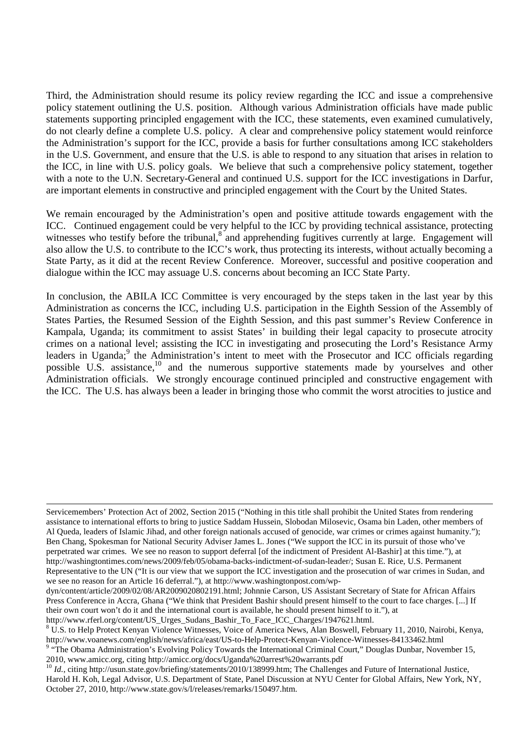Third, the Administration should resume its policy review regarding the ICC and issue a comprehensive policy statement outlining the U.S. position. Although various Administration officials have made public statements supporting principled engagement with the ICC, these statements, even examined cumulatively, do not clearly define a complete U.S. policy. A clear and comprehensive policy statement would reinforce the Administration's support for the ICC, provide a basis for further consultations among ICC stakeholders in the U.S. Government, and ensure that the U.S. is able to respond to any situation that arises in relation to the ICC, in line with U.S. policy goals. We believe that such a comprehensive policy statement, together with a note to the U.N. Secretary-General and continued U.S. support for the ICC investigations in Darfur, are important elements in constructive and principled engagement with the Court by the United States.

We remain encouraged by the Administration's open and positive attitude towards engagement with the ICC. Continued engagement could be very helpful to the ICC by providing technical assistance, protecting witnesses who testify before the tribunal,<sup>8</sup> and apprehending fugitives currently at large. Engagement will also allow the U.S. to contribute to the ICC's work, thus protecting its interests, without actually becoming a State Party, as it did at the recent Review Conference. Moreover, successful and positive cooperation and dialogue within the ICC may assuage U.S. concerns about becoming an ICC State Party.

In conclusion, the ABILA ICC Committee is very encouraged by the steps taken in the last year by this Administration as concerns the ICC, including U.S. participation in the Eighth Session of the Assembly of States Parties, the Resumed Session of the Eighth Session, and this past summer's Review Conference in Kampala, Uganda; its commitment to assist States' in building their legal capacity to prosecute atrocity crimes on a national level; assisting the ICC in investigating and prosecuting the Lord's Resistance Army leaders in Uganda;<sup>9</sup> the Administration's intent to meet with the Prosecutor and ICC officials regarding possible U.S. assistance,<sup>10</sup> and the numerous supportive statements made by yourselves and other Administration officials. We strongly encourage continued principled and constructive engagement with the ICC. The U.S. has always been a leader in bringing those who commit the worst atrocities to justice and

 $\overline{a}$ Servicemembers' Protection Act of 2002, Section 2015 ("Nothing in this title shall prohibit the United States from rendering assistance to international efforts to bring to justice Saddam Hussein, Slobodan Milosevic, Osama bin Laden, other members of Al Queda, leaders of Islamic Jihad, and other foreign nationals accused of genocide, war crimes or crimes against humanity."); Ben Chang, Spokesman for National Security Adviser James L. Jones ("We support the ICC in its pursuit of those who've perpetrated war crimes. We see no reason to support deferral [of the indictment of President Al-Bashir] at this time."), at http://washingtontimes.com/news/2009/feb/05/obama-backs-indictment-of-sudan-leader/; Susan E. Rice, U.S. Permanent Representative to the UN ("It is our view that we support the ICC investigation and the prosecution of war crimes in Sudan, and we see no reason for an Article 16 deferral."), at http://www.washingtonpost.com/wp-

dyn/content/article/2009/02/08/AR2009020802191.html; Johnnie Carson, US Assistant Secretary of State for African Affairs Press Conference in Accra, Ghana ("We think that President Bashir should present himself to the court to face charges. [...] If their own court won't do it and the international court is available, he should present himself to it."), at http://www.rferl.org/content/US\_Urges\_Sudans\_Bashir\_To\_Face\_ICC\_Charges/1947621.html.

<sup>&</sup>lt;sup>8</sup> U.S. to Help Protect Kenyan Violence Witnesses, Voice of America News, Alan Boswell, February 11, 2010, Nairobi, Kenya, http://www.voanews.com/english/news/africa/east/US-to-Help-Protect-Kenyan-Violence-Witnesses-84133462.html

<sup>&</sup>lt;sup>9</sup> "The Obama Administration's Evolving Policy Towards the International Criminal Court," Douglas Dunbar, November 15, 2010, www.amicc.org, citing http://amicc.org/docs/Uganda%20arrest%20warrants.pdf

<sup>&</sup>lt;sup>10</sup> *Id.*, citing http://usun.state.gov/briefing/statements/2010/138999.htm; The Challenges and Future of International Justice, Harold H. Koh, Legal Advisor, U.S. Department of State, Panel Discussion at NYU Center for Global Affairs, New York, NY, October 27, 2010, http://www.state.gov/s/l/releases/remarks/150497.htm.